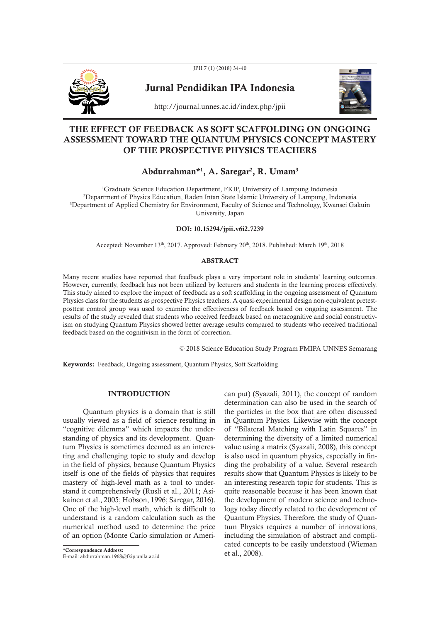JPII 7 (1) (2018) 34-40



Jurnal Pendidikan IPA Indonesia



http://journal.unnes.ac.id/index.php/jpii

## THE EFFECT OF FEEDBACK AS SOFT SCAFFOLDING ON ONGOING ASSESSMENT TOWARD THE QUANTUM PHYSICS CONCEPT MASTERY OF THE PROSPECTIVE PHYSICS TEACHERS

# Abdurrahman\*<sup>1</sup>, A. Saregar<sup>2</sup>, R. Umam<sup>3</sup>

<sup>1</sup>Graduate Science Education Department, FKIP, University of Lampung Indonesia <sup>2</sup>Department of Physics Education, Raden Intan State Islamic University of Lampung, Indonesia <sup>3</sup>Department of Applied Chemistry for Environment, Faculty of Science and Technology, Kwansei Gakuin University, Japan

## DOI: 10.15294/jpii.v6i2.7239

Accepted: November 13<sup>th</sup>, 2017. Approved: February 20<sup>th</sup>, 2018. Published: March 19<sup>th</sup>, 2018

## ABSTRACT

Many recent studies have reported that feedback plays a very important role in students' learning outcomes. However, currently, feedback has not been utilized by lecturers and students in the learning process effectively. This study aimed to explore the impact of feedback as a soft scaffolding in the ongoing assessment of Quantum Physics class for the students as prospective Physics teachers. A quasi-experimental design non-equivalent pretestposttest control group was used to examine the effectiveness of feedback based on ongoing assessment. The results of the study revealed that students who received feedback based on metacognitive and social constructivism on studying Quantum Physics showed better average results compared to students who received traditional feedback based on the cognitivism in the form of correction.

© 2018 Science Education Study Program FMIPA UNNES Semarang

Keywords: Feedback, Ongoing assessment, Quantum Physics, Soft Scaffolding

### **INTRODUCTION**

Quantum physics is a domain that is still usually viewed as a field of science resulting in "cognitive dilemma" which impacts the understanding of physics and its development. Quantum Physics is sometimes deemed as an interesting and challenging topic to study and develop in the field of physics, because Quantum Physics itself is one of the fields of physics that requires mastery of high-level math as a tool to understand it comprehensively (Rusli et al., 2011; Asikainen et al., 2005; Hobson, 1996; Saregar, 2016). One of the high-level math, which is difficult to understand is a random calculation such as the numerical method used to determine the price of an option (Monte Carlo simulation or Ameri-

\*Correspondence Address:

E-mail: abdurrahman.1968@fkip.unila.ac.id

can put) (Syazali, 2011), the concept of random determination can also be used in the search of the particles in the box that are often discussed in Quantum Physics. Likewise with the concept of "Bilateral Matching with Latin Squares" in determining the diversity of a limited numerical value using a matrix (Syazali, 2008), this concept is also used in quantum physics, especially in finding the probability of a value. Several research results show that Quantum Physics is likely to be an interesting research topic for students. This is quite reasonable because it has been known that the development of modern science and technology today directly related to the development of Quantum Physics. Therefore, the study of Quantum Physics requires a number of innovations, including the simulation of abstract and complicated concepts to be easily understood (Wieman et al., 2008).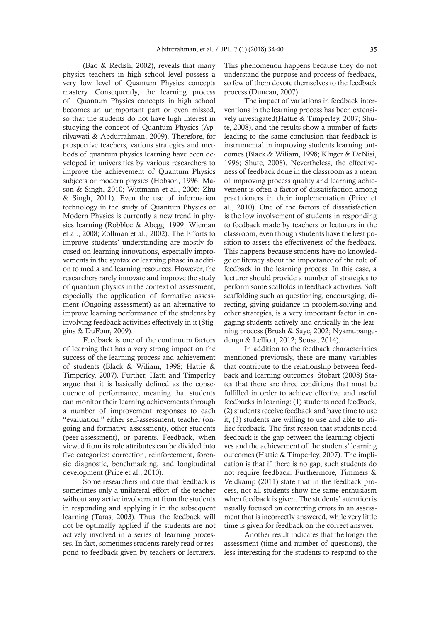(Bao & Redish, 2002), reveals that many physics teachers in high school level possess a very low level of Quantum Physics concepts mastery. Consequently, the learning process of Quantum Physics concepts in high school becomes an unimportant part or even missed, so that the students do not have high interest in studying the concept of Quantum Physics (Aprilyawati & Abdurrahman, 2009). Therefore, for prospective teachers, various strategies and methods of quantum physics learning have been developed in universities by various researchers to improve the achievement of Quantum Physics subjects or modern physics (Hobson, 1996; Mason & Singh, 2010; Wittmann et al., 2006; Zhu & Singh, 2011). Even the use of information technology in the study of Quantum Physics or Modern Physics is currently a new trend in physics learning (Robblee & Abegg, 1999; Wieman et al., 2008; Zollman et al., 2002). The Efforts to improve students' understanding are mostly focused on learning innovations, especially improvements in the syntax or learning phase in addition to media and learning resources. However, the researchers rarely innovate and improve the study of quantum physics in the context of assessment, especially the application of formative assessment (Ongoing assessment) as an alternative to improve learning performance of the students by involving feedback activities effectively in it (Stiggins & DuFour, 2009).

Feedback is one of the continuum factors of learning that has a very strong impact on the success of the learning process and achievement of students (Black & Wiliam, 1998; Hattie & Timperley, 2007). Further, Hatti and Timperley argue that it is basically defined as the consequence of performance, meaning that students can monitor their learning achievements through a number of improvement responses to each "evaluation," either self-assessment, teacher (ongoing and formative assessment), other students (peer-assessment), or parents. Feedback, when viewed from its role attributes can be divided into five categories: correction, reinforcement, forensic diagnostic, benchmarking, and longitudinal development (Price et al., 2010).

Some researchers indicate that feedback is sometimes only a unilateral effort of the teacher without any active involvement from the students in responding and applying it in the subsequent learning (Taras, 2003). Thus, the feedback will not be optimally applied if the students are not actively involved in a series of learning processes. In fact, sometimes students rarely read or respond to feedback given by teachers or lecturers.

This phenomenon happens because they do not understand the purpose and process of feedback, so few of them devote themselves to the feedback process (Duncan, 2007).

The impact of variations in feedback interventions in the learning process has been extensively investigated(Hattie & Timperley, 2007; Shute, 2008), and the results show a number of facts leading to the same conclusion that feedback is instrumental in improving students learning outcomes (Black & Wiliam, 1998; Kluger & DeNisi, 1996; Shute, 2008). Nevertheless, the effectiveness of feedback done in the classroom as a mean of improving process quality and learning achievement is often a factor of dissatisfaction among practitioners in their implementation (Price et al., 2010). One of the factors of dissatisfaction is the low involvement of students in responding to feedback made by teachers or lecturers in the classroom, even though students have the best position to assess the effectiveness of the feedback. This happens because students have no knowledge or literacy about the importance of the role of feedback in the learning process. In this case, a lecturer should provide a number of strategies to perform some scaffolds in feedback activities. Soft scaffolding such as questioning, encouraging, directing, giving guidance in problem-solving and other strategies, is a very important factor in engaging students actively and critically in the learning process (Brush & Saye, 2002; Nyamupangedengu & Lelliott, 2012; Sousa, 2014).

In addition to the feedback characteristics mentioned previously, there are many variables that contribute to the relationship between feedback and learning outcomes. Stobart (2008) States that there are three conditions that must be fulfilled in order to achieve effective and useful feedbacks in learning: (1) students need feedback, (2) students receive feedback and have time to use it, (3) students are willing to use and able to utilize feedback. The first reason that students need feedback is the gap between the learning objectives and the achievement of the students' learning outcomes (Hattie & Timperley, 2007). The implication is that if there is no gap, such students do not require feedback. Furthermore, Timmers & Veldkamp (2011) state that in the feedback process, not all students show the same enthusiasm when feedback is given. The students' attention is usually focused on correcting errors in an assessment that is incorrectly answered, while very little time is given for feedback on the correct answer.

Another result indicates that the longer the assessment (time and number of questions), the less interesting for the students to respond to the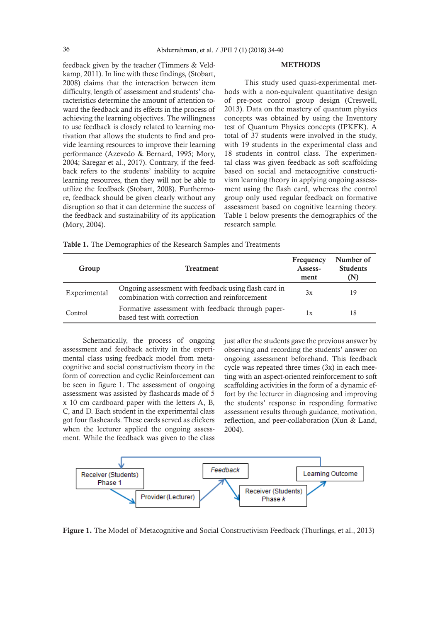feedback given by the teacher (Timmers & Veldkamp, 2011). In line with these findings, (Stobart, 2008) claims that the interaction between item difficulty, length of assessment and students' characteristics determine the amount of attention toward the feedback and its effects in the process of achieving the learning objectives. The willingness to use feedback is closely related to learning motivation that allows the students to find and provide learning resources to improve their learning performance (Azevedo & Bernard, 1995; Mory, 2004; Saregar et al., 2017). Contrary, if the feedback refers to the students' inability to acquire learning resources, then they will not be able to utilize the feedback (Stobart, 2008). Furthermore, feedback should be given clearly without any disruption so that it can determine the success of the feedback and sustainability of its application (Mory, 2004).

#### **METHODS**

This study used quasi-experimental methods with a non-equivalent quantitative design of pre-post control group design (Creswell, 2013). Data on the mastery of quantum physics concepts was obtained by using the Inventory test of Quantum Physics concepts (IPKFK). A total of 37 students were involved in the study, with 19 students in the experimental class and 18 students in control class. The experimental class was given feedback as soft scaffolding based on social and metacognitive constructivism learning theory in applying ongoing assessment using the flash card, whereas the control group only used regular feedback on formative assessment based on cognitive learning theory. Table 1 below presents the demographics of the research sample.

Table 1. The Demographics of the Research Samples and Treatments

| Group        | <b>Treatment</b>                                                                                      | Frequency<br>Assess-<br>ment | Number of<br><b>Students</b><br>(N) |
|--------------|-------------------------------------------------------------------------------------------------------|------------------------------|-------------------------------------|
| Experimental | Ongoing assessment with feedback using flash card in<br>combination with correction and reinforcement | 3x                           | 19                                  |
| Control      | Formative assessment with feedback through paper-<br>based test with correction                       | l x                          | 18                                  |

Schematically, the process of ongoing assessment and feedback activity in the experimental class using feedback model from metacognitive and social constructivism theory in the form of correction and cyclic Reinforcement can be seen in figure 1. The assessment of ongoing assessment was assisted by flashcards made of 5 x 10 cm cardboard paper with the letters A, B, C, and D. Each student in the experimental class got four flashcards. These cards served as clickers when the lecturer applied the ongoing assessment. While the feedback was given to the class

just after the students gave the previous answer by observing and recording the students' answer on ongoing assessment beforehand. This feedback cycle was repeated three times (3x) in each meeting with an aspect-oriented reinforcement to soft scaffolding activities in the form of a dynamic effort by the lecturer in diagnosing and improving the students' response in responding formative assessment results through guidance, motivation, reflection, and peer-collaboration (Xun & Land, 2004).



Figure 1. The Model of Metacognitive and Social Constructivism Feedback (Thurlings, et al., 2013)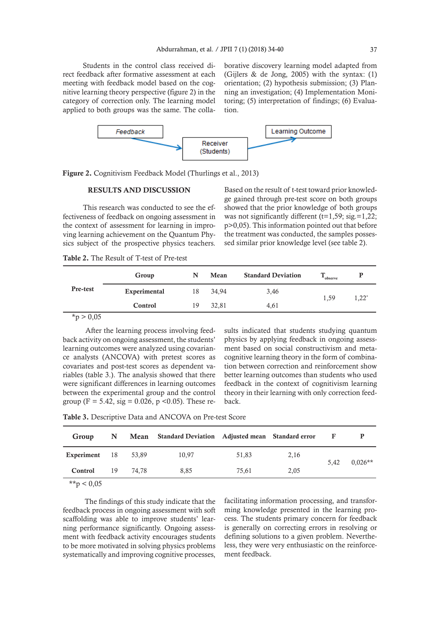Students in the control class received direct feedback after formative assessment at each meeting with feedback model based on the cognitive learning theory perspective (figure 2) in the category of correction only. The learning model applied to both groups was the same. The collaborative discovery learning model adapted from (Gijlers & de Jong, 2005) with the syntax: (1) orientation; (2) hypothesis submission; (3) Planning an investigation; (4) Implementation Monitoring; (5) interpretation of findings; (6) Evaluation.



Figure 2. Cognitivism Feedback Model (Thurlings et al., 2013)

## RESULTS AND DISCUSSION

This research was conducted to see the effectiveness of feedback on ongoing assessment in the context of assessment for learning in improving learning achievement on the Quantum Physics subject of the prospective physics teachers.

Based on the result of t-test toward prior knowledge gained through pre-test score on both groups showed that the prior knowledge of both groups was not significantly different ( $t=1,59$ ; sig.=1,22; p>0,05). This information pointed out that before the treatment was conducted, the samples possessed similar prior knowledge level (see table 2).

Table 2. The Result of T-test of Pre-test

| Pre-test | Group        | N  | Mean  | <b>Standard Deviation</b> | observe |          |
|----------|--------------|----|-------|---------------------------|---------|----------|
|          | Experimental | 18 | 34.94 | 3,46                      | 1.59    | $1,22^*$ |
|          | Control      | 19 | 32.81 | 4,61                      |         |          |

 $*_{p} > 0,05$ 

 After the learning process involving feedback activity on ongoing assessment, the students' learning outcomes were analyzed using covariance analysts (ANCOVA) with pretest scores as covariates and post-test scores as dependent variables (table 3.). The analysis showed that there were significant differences in learning outcomes between the experimental group and the control group (F = 5.42, sig = 0.026, p < 0.05). These results indicated that students studying quantum physics by applying feedback in ongoing assessment based on social constructivism and metacognitive learning theory in the form of combination between correction and reinforcement show better learning outcomes than students who used feedback in the context of cognitivism learning theory in their learning with only correction feedback.

Table 3. Descriptive Data and ANCOVA on Pre-test Score

| Group               |          | N Mean Standard Deviation Adjusted mean Standard error |       |      | $\mathbf{F}$ |                  |
|---------------------|----------|--------------------------------------------------------|-------|------|--------------|------------------|
| Experiment 18 53,89 |          | 10.97                                                  | 51.83 | 2,16 |              | $5,42$ $0.026**$ |
| Control             | 19 74.78 | 8.85                                                   | 75.61 | 2,05 |              |                  |
| $\mathbf{a}$        |          |                                                        |       |      |              |                  |

\*\*p  $< 0.05$ 

 The findings of this study indicate that the feedback process in ongoing assessment with soft scaffolding was able to improve students' learning performance significantly. Ongoing assessment with feedback activity encourages students to be more motivated in solving physics problems systematically and improving cognitive processes,

facilitating information processing, and transforming knowledge presented in the learning process. The students primary concern for feedback is generally on correcting errors in resolving or defining solutions to a given problem. Nevertheless, they were very enthusiastic on the reinforcement feedback.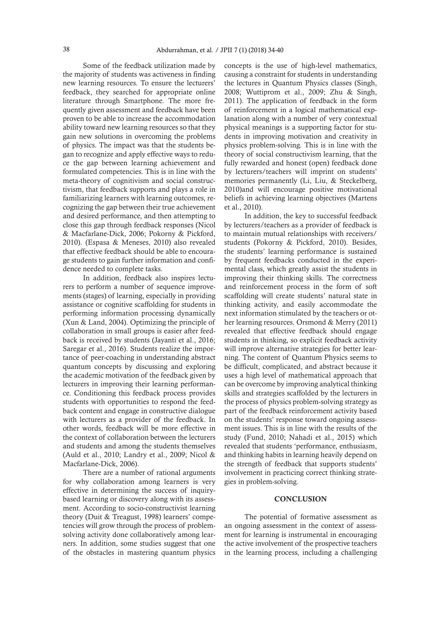Some of the feedback utilization made by the majority of students was activeness in finding new learning resources. To ensure the lecturers' feedback, they searched for appropriate online literature through Smartphone. The more frequently given assessment and feedback have been proven to be able to increase the accommodation ability toward new learning resources so that they gain new solutions in overcoming the problems of physics. The impact was that the students began to recognize and apply effective ways to reduce the gap between learning achievement and formulated competencies. This is in line with the meta-theory of cognitivism and social constructivism, that feedback supports and plays a role in familiarizing learners with learning outcomes, recognizing the gap between their true achievement and desired performance, and then attempting to close this gap through feedback responses (Nicol & Macfarlane-Dick, 2006; Pokorny & Pickford, 2010). (Espasa & Meneses, 2010) also revealed that effective feedback should be able to encourage students to gain further information and confidence needed to complete tasks.

In addition, feedback also inspires lecturers to perform a number of sequence improvements (stages) of learning, especially in providing assistance or cognitive scaffolding for students in performing information processing dynamically (Xun & Land, 2004). Optimizing the principle of collaboration in small groups is easier after feedback is received by students (Jayanti et al., 2016; Saregar et al., 2016). Students realize the importance of peer-coaching in understanding abstract quantum concepts by discussing and exploring the academic motivation of the feedback given by lecturers in improving their learning performance. Conditioning this feedback process provides students with opportunities to respond the feedback content and engage in constructive dialogue with lecturers as a provider of the feedback. In other words, feedback will be more effective in the context of collaboration between the lecturers and students and among the students themselves (Auld et al., 2010; Landry et al., 2009; Nicol & Macfarlane-Dick, 2006).

There are a number of rational arguments for why collaboration among learners is very effective in determining the success of inquirybased learning or discovery along with its assessment. According to socio-constructivist learning theory (Duit & Treagust, 1998) learners' competencies will grow through the process of problemsolving activity done collaboratively among learners. In addition, some studies suggest that one of the obstacles in mastering quantum physics concepts is the use of high-level mathematics, causing a constraint for students in understanding the lectures in Quantum Physics classes (Singh, 2008; Wuttiprom et al., 2009; Zhu & Singh, 2011). The application of feedback in the form of reinforcement in a logical mathematical explanation along with a number of very contextual physical meanings is a supporting factor for students in improving motivation and creativity in physics problem-solving. This is in line with the theory of social constructivism learning, that the fully rewarded and honest (open) feedback done by lecturers/teachers will imprint on students' memories permanently (Li, Liu, & Steckelberg, 2010)and will encourage positive motivational beliefs in achieving learning objectives (Martens et al., 2010).

In addition, the key to successful feedback by lecturers/teachers as a provider of feedback is to maintain mutual relationships with receivers/ students (Pokorny & Pickford, 2010). Besides, the students' learning performance is sustained by frequent feedbacks conducted in the experimental class, which greatly assist the students in improving their thinking skills. The correctness and reinforcement process in the form of soft scaffolding will create students' natural state in thinking activity, and easily accommodate the next information stimulated by the teachers or other learning resources. Orsmond & Merry (2011) revealed that effective feedback should engage students in thinking, so explicit feedback activity will improve alternative strategies for better learning. The content of Quantum Physics seems to be difficult, complicated, and abstract because it uses a high level of mathematical approach that can be overcome by improving analytical thinking skills and strategies scaffolded by the lecturers in the process of physics problem-solving strategy as part of the feedback reinforcement activity based on the students' response toward ongoing assessment issues. This is in line with the results of the study (Fund, 2010; Nahadi et al., 2015) which revealed that students 'performance, enthusiasm, and thinking habits in learning heavily depend on the strength of feedback that supports students' involvement in practicing correct thinking strategies in problem-solving.

#### **CONCLUSION**

The potential of formative assessment as an ongoing assessment in the context of assessment for learning is instrumental in encouraging the active involvement of the prospective teachers in the learning process, including a challenging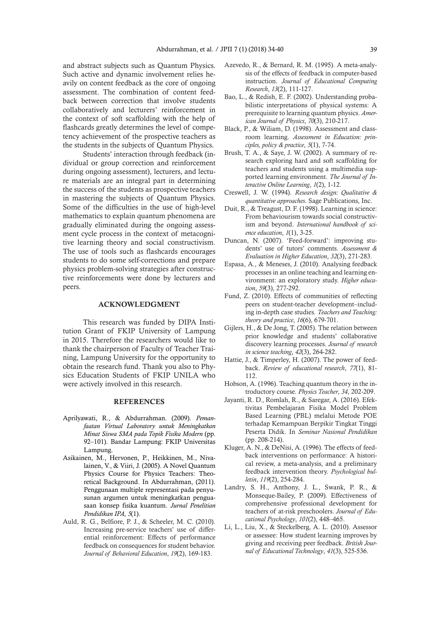and abstract subjects such as Quantum Physics. Such active and dynamic involvement relies heavily on content feedback as the core of ongoing assessment. The combination of content feedback between correction that involve students collaboratively and lecturers' reinforcement in the context of soft scaffolding with the help of flashcards greatly determines the level of competency achievement of the prospective teachers as the students in the subjects of Quantum Physics.

Students' interaction through feedback (individual or group correction and reinforcement during ongoing assessment), lecturers, and lecture materials are an integral part in determining the success of the students as prospective teachers in mastering the subjects of Quantum Physics. Some of the difficulties in the use of high-level mathematics to explain quantum phenomena are gradually eliminated during the ongoing assessment cycle process in the context of metacognitive learning theory and social constructivism. The use of tools such as flashcards encourages students to do some self-corrections and prepare physics problem-solving strategies after constructive reinforcements were done by lecturers and peers.

#### ACKNOWLEDGMENT

This research was funded by DIPA Institution Grant of FKIP University of Lampung in 2015. Therefore the researchers would like to thank the chairperson of Faculty of Teacher Training, Lampung University for the opportunity to obtain the research fund. Thank you also to Physics Education Students of FKIP UNILA who were actively involved in this research.

## **REFERENCES**

- Aprilyawati, R., & Abdurrahman. (2009). *Pemanfaatan Virtual Laboratory untuk Meningkatkan Minat Siswa SMA pada Topik Fisika Modern* (pp. 92–101). Bandar Lampung: FKIP Universitas Lampung.
- Asikainen, M., Hervonen, P., Heikkinen, M., Nivalainen, V., & Viiri, J. (2005). A Novel Quantum Physics Course for Physics Teachers: Theoretical Background. In Abdurrahman, (2011). Penggunaan multiple representasi pada penyusunan argumen untuk meningkatkan penguasaan konsep fisika kuantum. *Jurnal Penelitian Pendidikan IPA, 5*(1).
- Auld, R. G., Belfiore, P. J., & Scheeler, M. C. (2010). Increasing pre-service teachers' use of differential reinforcement: Effects of performance feedback on consequences for student behavior. *Journal of Behavioral Education*, *19*(2), 169-183.
- Azevedo, R., & Bernard, R. M. (1995). A meta-analysis of the effects of feedback in computer-based instruction. *Journal of Educational Computing Research*, *13*(2), 111-127.
- Bao, L., & Redish, E. F. (2002). Understanding probabilistic interpretations of physical systems: A prerequisite to learning quantum physics. *American Journal of Physics*, *70*(3), 210-217.
- Black, P., & Wiliam, D. (1998). Assessment and classroom learning. *Assessment in Education: principles, policy & practice*, *5*(1), 7-74.
- Brush, T. A., & Saye, J. W. (2002). A summary of research exploring hard and soft scaffolding for teachers and students using a multimedia supported learning environment. *The Journal of Interactive Online Learning*, *1*(2), 1-12.
- Creswell, J. W. (1994). *Research design: Qualitative & quantitative approaches*. Sage Publications, Inc.
- Duit, R., & Treagust, D. F. (1998). Learning in science: From behaviourism towards social constructivism and beyond. *International handbook of science education*, *1*(1), 3-25.
- Duncan, N. (2007). 'Feed‐forward': improving students' use of tutors' comments. *Assessment & Evaluation in Higher Education*, *32*(3), 271-283.
- Espasa, A., & Meneses, J. (2010). Analysing feedback processes in an online teaching and learning environment: an exploratory study. *Higher education*, *59*(3), 277-292.
- Fund, Z. (2010). Effects of communities of reflecting peers on student‐teacher development–including in‐depth case studies. *Teachers and Teaching: theory and practice*, *16*(6), 679-701.
- Gijlers, H., & De Jong, T. (2005). The relation between prior knowledge and students' collaborative discovery learning processes. *Journal of research in science teaching*, *42*(3), 264-282.
- Hattie, J., & Timperley, H. (2007). The power of feedback. *Review of educational research*, *77*(1), 81- 112.
- Hobson, A. (1996). Teaching quantum theory in the introductory course. *Physics Teacher*, *34*, 202-209.
- Jayanti, R. D., Romlah, R., & Saregar, A. (2016). Efektivitas Pembelajaran Fisika Model Problem Based Learning (PBL) melalui Metode POE terhadap Kemampuan Berpikir Tingkat Tinggi Peserta Didik. In *Seminar Nasional Pendidikan* (pp. 208-214).
- Kluger, A. N., & DeNisi, A. (1996). The effects of feedback interventions on performance: A historical review, a meta-analysis, and a preliminary feedback intervention theory. *Psychological bulletin*, *119*(2), 254-284.
- Landry, S. H., Anthony, J. L., Swank, P. R., & Monseque-Bailey, P. (2009). Effectiveness of comprehensive professional development for teachers of at-risk preschoolers. *Journal of Educational Psychology*, *101*(2), 448–465.
- Li, L., Liu, X., & Steckelberg, A. L. (2010). Assessor or assessee: How student learning improves by giving and receiving peer feedback. *British Journal of Educational Technology*, *41*(3), 525-536.